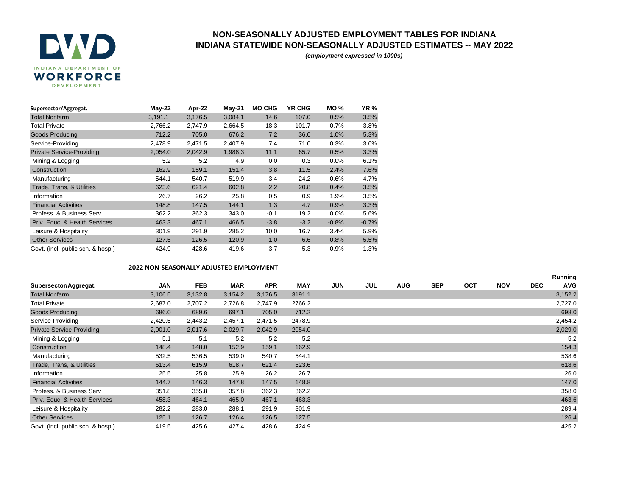

## **NON-SEASONALLY ADJUSTED EMPLOYMENT TABLES FOR INDIANA INDIANA STATEWIDE NON-SEASONALLY ADJUSTED ESTIMATES -- MAY 2022**

*(employment expressed in 1000s)*

| Supersector/Aggregat.             | May-22  | Apr-22  | <b>May-21</b> | <b>MO CHG</b> | <b>YR CHG</b> | <b>MO%</b> | <b>YR %</b> |
|-----------------------------------|---------|---------|---------------|---------------|---------------|------------|-------------|
| <b>Total Nonfarm</b>              | 3,191.1 | 3,176.5 | 3,084.1       | 14.6          | 107.0         | 0.5%       | 3.5%        |
| <b>Total Private</b>              | 2,766.2 | 2,747.9 | 2,664.5       | 18.3          | 101.7         | 0.7%       | 3.8%        |
| <b>Goods Producing</b>            | 712.2   | 705.0   | 676.2         | 7.2           | 36.0          | 1.0%       | 5.3%        |
| Service-Providing                 | 2,478.9 | 2,471.5 | 2,407.9       | 7.4           | 71.0          | 0.3%       | 3.0%        |
| <b>Private Service-Providing</b>  | 2,054.0 | 2,042.9 | 1,988.3       | 11.1          | 65.7          | 0.5%       | 3.3%        |
| Mining & Logging                  | 5.2     | 5.2     | 4.9           | 0.0           | 0.3           | 0.0%       | 6.1%        |
| Construction                      | 162.9   | 159.1   | 151.4         | 3.8           | 11.5          | 2.4%       | 7.6%        |
| Manufacturing                     | 544.1   | 540.7   | 519.9         | 3.4           | 24.2          | 0.6%       | 4.7%        |
| Trade, Trans, & Utilities         | 623.6   | 621.4   | 602.8         | 2.2           | 20.8          | 0.4%       | 3.5%        |
| Information                       | 26.7    | 26.2    | 25.8          | 0.5           | 0.9           | 1.9%       | 3.5%        |
| <b>Financial Activities</b>       | 148.8   | 147.5   | 144.1         | 1.3           | 4.7           | 0.9%       | 3.3%        |
| Profess, & Business Serv          | 362.2   | 362.3   | 343.0         | $-0.1$        | 19.2          | $0.0\%$    | 5.6%        |
| Priv. Educ. & Health Services     | 463.3   | 467.1   | 466.5         | $-3.8$        | $-3.2$        | $-0.8%$    | $-0.7%$     |
| Leisure & Hospitality             | 301.9   | 291.9   | 285.2         | 10.0          | 16.7          | 3.4%       | 5.9%        |
| <b>Other Services</b>             | 127.5   | 126.5   | 120.9         | 1.0           | 6.6           | 0.8%       | 5.5%        |
| Govt. (incl. public sch. & hosp.) | 424.9   | 428.6   | 419.6         | $-3.7$        | 5.3           | $-0.9%$    | 1.3%        |

## **2022 NON-SEASONALLY ADJUSTED EMPLOYMENT**

|                                   |         |            |            |            |            |            |     |            |            |            |            |            | Running    |
|-----------------------------------|---------|------------|------------|------------|------------|------------|-----|------------|------------|------------|------------|------------|------------|
| Supersector/Aggregat.             | JAN     | <b>FEB</b> | <b>MAR</b> | <b>APR</b> | <b>MAY</b> | <b>JUN</b> | JUL | <b>AUG</b> | <b>SEP</b> | <b>OCT</b> | <b>NOV</b> | <b>DEC</b> | <b>AVG</b> |
| <b>Total Nonfarm</b>              | 3,106.5 | 3,132.8    | 3,154.2    | 3,176.5    | 3191.1     |            |     |            |            |            |            |            | 3,152.2    |
| <b>Total Private</b>              | 2,687.0 | 2,707.2    | 2,726.8    | 2,747.9    | 2766.2     |            |     |            |            |            |            |            | 2,727.0    |
| <b>Goods Producing</b>            | 686.0   | 689.6      | 697.1      | 705.0      | 712.2      |            |     |            |            |            |            |            | 698.0      |
| Service-Providing                 | 2,420.5 | 2,443.2    | 2,457.1    | 2,471.5    | 2478.9     |            |     |            |            |            |            |            | 2,454.2    |
| <b>Private Service-Providing</b>  | 2,001.0 | 2,017.6    | 2,029.7    | 2,042.9    | 2054.0     |            |     |            |            |            |            |            | 2,029.0    |
| Mining & Logging                  | 5.1     | 5.1        | 5.2        | 5.2        | 5.2        |            |     |            |            |            |            |            | 5.2        |
| Construction                      | 148.4   | 148.0      | 152.9      | 159.1      | 162.9      |            |     |            |            |            |            |            | 154.3      |
| Manufacturing                     | 532.5   | 536.5      | 539.0      | 540.7      | 544.1      |            |     |            |            |            |            |            | 538.6      |
| Trade, Trans, & Utilities         | 613.4   | 615.9      | 618.7      | 621.4      | 623.6      |            |     |            |            |            |            |            | 618.6      |
| Information                       | 25.5    | 25.8       | 25.9       | 26.2       | 26.7       |            |     |            |            |            |            |            | 26.0       |
| <b>Financial Activities</b>       | 144.7   | 146.3      | 147.8      | 147.5      | 148.8      |            |     |            |            |            |            |            | 147.0      |
| Profess. & Business Serv          | 351.8   | 355.8      | 357.8      | 362.3      | 362.2      |            |     |            |            |            |            |            | 358.0      |
| Priv. Educ. & Health Services     | 458.3   | 464.1      | 465.0      | 467.1      | 463.3      |            |     |            |            |            |            |            | 463.6      |
| Leisure & Hospitality             | 282.2   | 283.0      | 288.1      | 291.9      | 301.9      |            |     |            |            |            |            |            | 289.4      |
| <b>Other Services</b>             | 125.1   | 126.7      | 126.4      | 126.5      | 127.5      |            |     |            |            |            |            |            | 126.4      |
| Govt. (incl. public sch. & hosp.) | 419.5   | 425.6      | 427.4      | 428.6      | 424.9      |            |     |            |            |            |            |            | 425.2      |